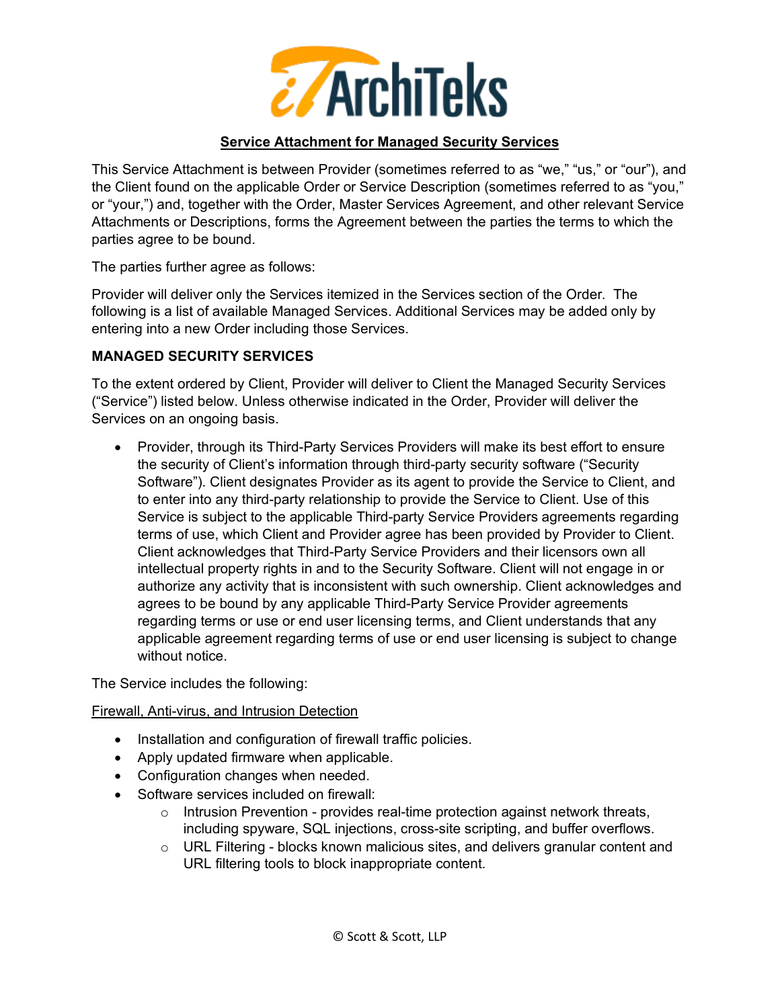

### **Service Attachment for Managed Security Services**

This Service Attachment is between Provider (sometimes referred to as "we," "us," or "our"), and the Client found on the applicable Order or Service Description (sometimes referred to as "you," or "your,") and, together with the Order, Master Services Agreement, and other relevant Service Attachments or Descriptions, forms the Agreement between the parties the terms to which the parties agree to be bound.

The parties further agree as follows:

Provider will deliver only the Services itemized in the Services section of the Order. The following is a list of available Managed Services. Additional Services may be added only by entering into a new Order including those Services.

## **MANAGED SECURITY SERVICES**

To the extent ordered by Client, Provider will deliver to Client the Managed Security Services ("Service") listed below. Unless otherwise indicated in the Order, Provider will deliver the Services on an ongoing basis.

• Provider, through its Third-Party Services Providers will make its best effort to ensure the security of Client's information through third-party security software ("Security Software"). Client designates Provider as its agent to provide the Service to Client, and to enter into any third-party relationship to provide the Service to Client. Use of this Service is subject to the applicable Third-party Service Providers agreements regarding terms of use, which Client and Provider agree has been provided by Provider to Client. Client acknowledges that Third-Party Service Providers and their licensors own all intellectual property rights in and to the Security Software. Client will not engage in or authorize any activity that is inconsistent with such ownership. Client acknowledges and agrees to be bound by any applicable Third-Party Service Provider agreements regarding terms or use or end user licensing terms, and Client understands that any applicable agreement regarding terms of use or end user licensing is subject to change without notice.

The Service includes the following:

#### Firewall, Anti-virus, and Intrusion Detection

- Installation and configuration of firewall traffic policies.
- Apply updated firmware when applicable.
- Configuration changes when needed.
- Software services included on firewall:
	- $\circ$  Intrusion Prevention provides real-time protection against network threats, including spyware, SQL injections, cross-site scripting, and buffer overflows.
	- $\circ$  URL Filtering blocks known malicious sites, and delivers granular content and URL filtering tools to block inappropriate content.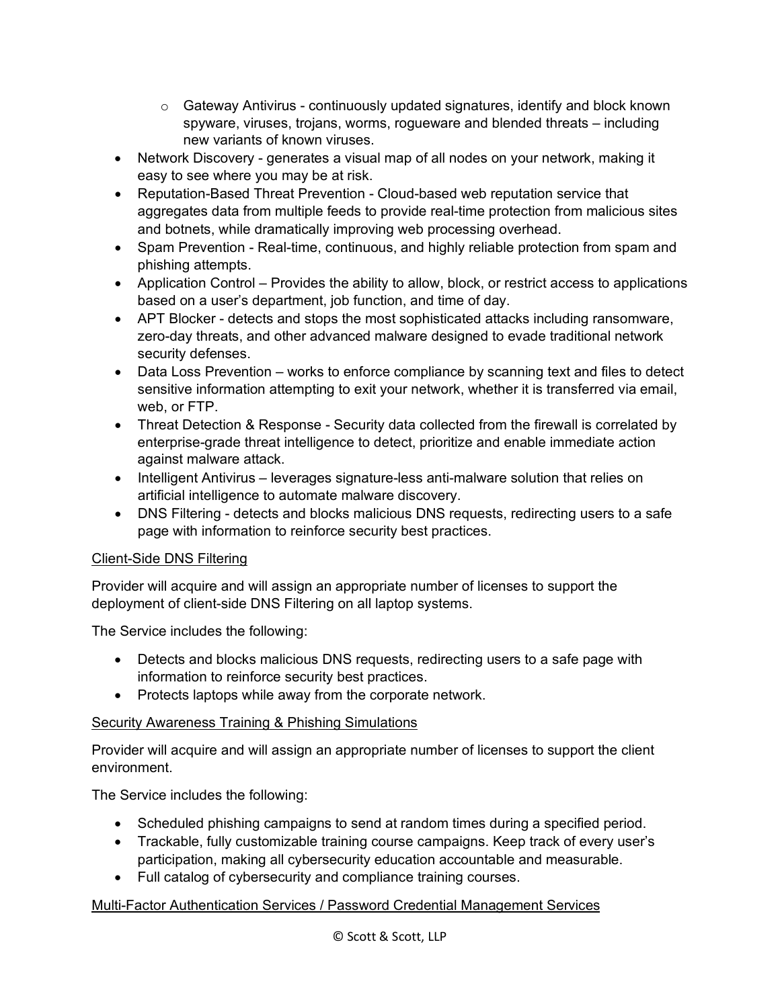- o Gateway Antivirus continuously updated signatures, identify and block known spyware, viruses, trojans, worms, rogueware and blended threats – including new variants of known viruses.
- Network Discovery generates a visual map of all nodes on your network, making it easy to see where you may be at risk.
- Reputation-Based Threat Prevention Cloud-based web reputation service that aggregates data from multiple feeds to provide real-time protection from malicious sites and botnets, while dramatically improving web processing overhead.
- Spam Prevention Real-time, continuous, and highly reliable protection from spam and phishing attempts.
- Application Control Provides the ability to allow, block, or restrict access to applications based on a user's department, job function, and time of day.
- APT Blocker detects and stops the most sophisticated attacks including ransomware, zero-day threats, and other advanced malware designed to evade traditional network security defenses.
- Data Loss Prevention works to enforce compliance by scanning text and files to detect sensitive information attempting to exit your network, whether it is transferred via email, web, or FTP.
- Threat Detection & Response Security data collected from the firewall is correlated by enterprise-grade threat intelligence to detect, prioritize and enable immediate action against malware attack.
- Intelligent Antivirus leverages signature-less anti-malware solution that relies on artificial intelligence to automate malware discovery.
- DNS Filtering detects and blocks malicious DNS requests, redirecting users to a safe page with information to reinforce security best practices.

# Client-Side DNS Filtering

Provider will acquire and will assign an appropriate number of licenses to support the deployment of client-side DNS Filtering on all laptop systems.

The Service includes the following:

- Detects and blocks malicious DNS requests, redirecting users to a safe page with information to reinforce security best practices.
- Protects laptops while away from the corporate network.

# Security Awareness Training & Phishing Simulations

Provider will acquire and will assign an appropriate number of licenses to support the client environment.

The Service includes the following:

- Scheduled phishing campaigns to send at random times during a specified period.
- Trackable, fully customizable training course campaigns. Keep track of every user's participation, making all cybersecurity education accountable and measurable.
- Full catalog of cybersecurity and compliance training courses.

# Multi-Factor Authentication Services / Password Credential Management Services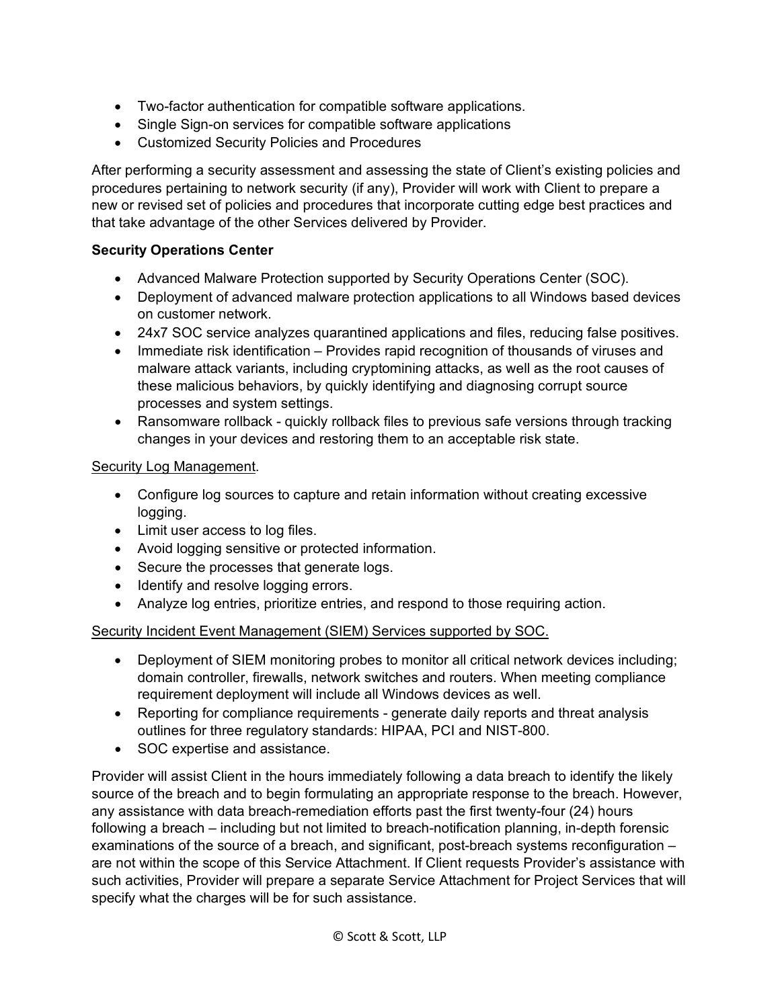- Two-factor authentication for compatible software applications.
- Single Sign-on services for compatible software applications
- Customized Security Policies and Procedures

After performing a security assessment and assessing the state of Client's existing policies and procedures pertaining to network security (if any), Provider will work with Client to prepare a new or revised set of policies and procedures that incorporate cutting edge best practices and that take advantage of the other Services delivered by Provider.

## **Security Operations Center**

- Advanced Malware Protection supported by Security Operations Center (SOC).
- Deployment of advanced malware protection applications to all Windows based devices on customer network.
- 24x7 SOC service analyzes quarantined applications and files, reducing false positives.
- Immediate risk identification Provides rapid recognition of thousands of viruses and malware attack variants, including cryptomining attacks, as well as the root causes of these malicious behaviors, by quickly identifying and diagnosing corrupt source processes and system settings.
- Ransomware rollback quickly rollback files to previous safe versions through tracking changes in your devices and restoring them to an acceptable risk state.

#### Security Log Management.

- Configure log sources to capture and retain information without creating excessive logging.
- Limit user access to log files.
- Avoid logging sensitive or protected information.
- Secure the processes that generate logs.
- Identify and resolve logging errors.
- Analyze log entries, prioritize entries, and respond to those requiring action.

#### Security Incident Event Management (SIEM) Services supported by SOC.

- Deployment of SIEM monitoring probes to monitor all critical network devices including; domain controller, firewalls, network switches and routers. When meeting compliance requirement deployment will include all Windows devices as well.
- Reporting for compliance requirements generate daily reports and threat analysis outlines for three regulatory standards: HIPAA, PCI and NIST-800.
- SOC expertise and assistance.

Provider will assist Client in the hours immediately following a data breach to identify the likely source of the breach and to begin formulating an appropriate response to the breach. However, any assistance with data breach-remediation efforts past the first twenty-four (24) hours following a breach – including but not limited to breach-notification planning, in-depth forensic examinations of the source of a breach, and significant, post-breach systems reconfiguration – are not within the scope of this Service Attachment. If Client requests Provider's assistance with such activities, Provider will prepare a separate Service Attachment for Project Services that will specify what the charges will be for such assistance.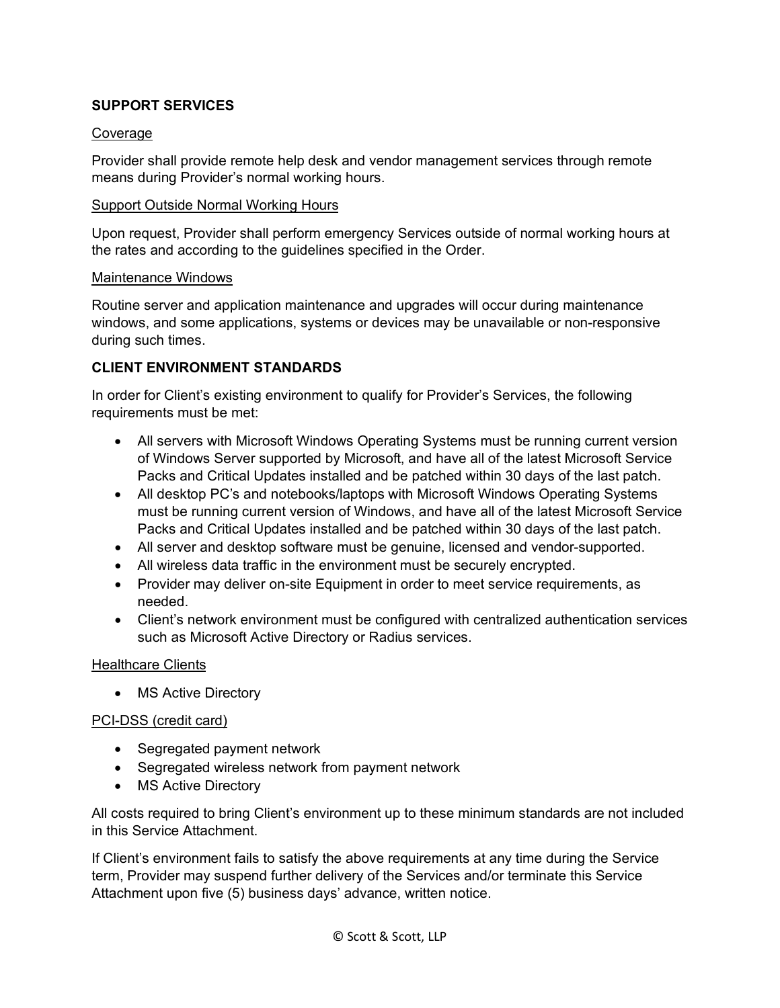## **SUPPORT SERVICES**

#### Coverage

Provider shall provide remote help desk and vendor management services through remote means during Provider's normal working hours.

#### Support Outside Normal Working Hours

Upon request, Provider shall perform emergency Services outside of normal working hours at the rates and according to the guidelines specified in the Order.

#### Maintenance Windows

Routine server and application maintenance and upgrades will occur during maintenance windows, and some applications, systems or devices may be unavailable or non-responsive during such times.

## **CLIENT ENVIRONMENT STANDARDS**

In order for Client's existing environment to qualify for Provider's Services, the following requirements must be met:

- All servers with Microsoft Windows Operating Systems must be running current version of Windows Server supported by Microsoft, and have all of the latest Microsoft Service Packs and Critical Updates installed and be patched within 30 days of the last patch.
- All desktop PC's and notebooks/laptops with Microsoft Windows Operating Systems must be running current version of Windows, and have all of the latest Microsoft Service Packs and Critical Updates installed and be patched within 30 days of the last patch.
- All server and desktop software must be genuine, licensed and vendor-supported.
- All wireless data traffic in the environment must be securely encrypted.
- Provider may deliver on-site Equipment in order to meet service requirements, as needed.
- Client's network environment must be configured with centralized authentication services such as Microsoft Active Directory or Radius services.

#### Healthcare Clients

• MS Active Directory

#### PCI-DSS (credit card)

- Segregated payment network
- Segregated wireless network from payment network
- MS Active Directory

All costs required to bring Client's environment up to these minimum standards are not included in this Service Attachment.

If Client's environment fails to satisfy the above requirements at any time during the Service term, Provider may suspend further delivery of the Services and/or terminate this Service Attachment upon five (5) business days' advance, written notice.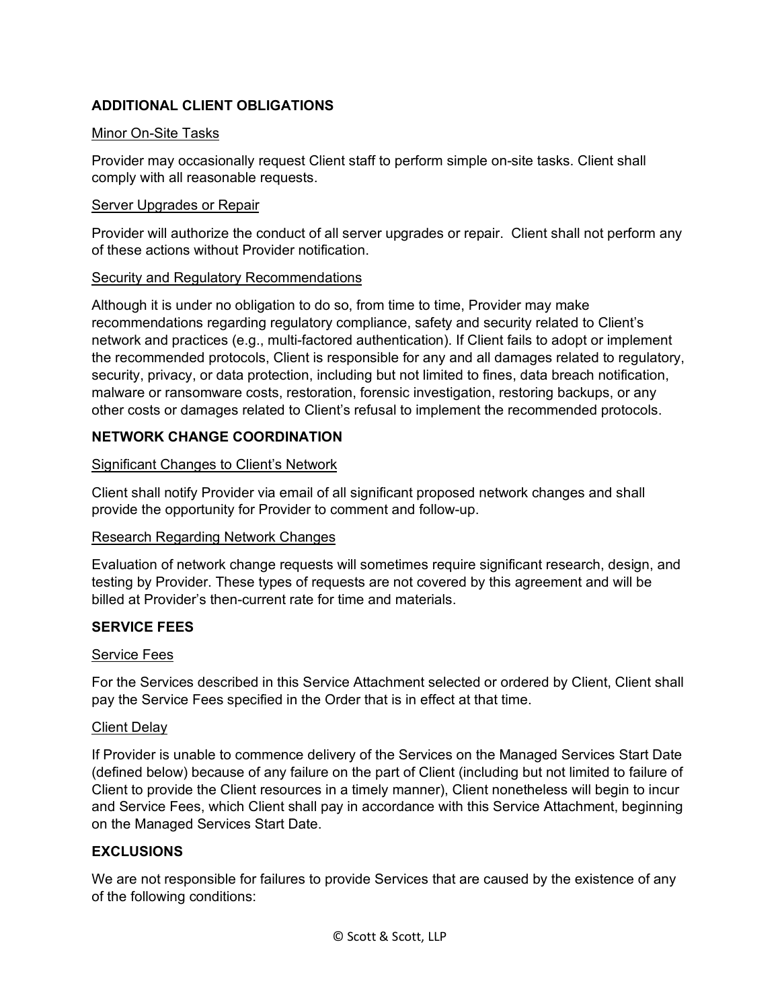# **ADDITIONAL CLIENT OBLIGATIONS**

### Minor On-Site Tasks

Provider may occasionally request Client staff to perform simple on-site tasks. Client shall comply with all reasonable requests.

### Server Upgrades or Repair

Provider will authorize the conduct of all server upgrades or repair. Client shall not perform any of these actions without Provider notification.

## Security and Regulatory Recommendations

Although it is under no obligation to do so, from time to time, Provider may make recommendations regarding regulatory compliance, safety and security related to Client's network and practices (e.g., multi-factored authentication). If Client fails to adopt or implement the recommended protocols, Client is responsible for any and all damages related to regulatory, security, privacy, or data protection, including but not limited to fines, data breach notification, malware or ransomware costs, restoration, forensic investigation, restoring backups, or any other costs or damages related to Client's refusal to implement the recommended protocols.

# **NETWORK CHANGE COORDINATION**

## Significant Changes to Client's Network

Client shall notify Provider via email of all significant proposed network changes and shall provide the opportunity for Provider to comment and follow-up.

# Research Regarding Network Changes

Evaluation of network change requests will sometimes require significant research, design, and testing by Provider. These types of requests are not covered by this agreement and will be billed at Provider's then-current rate for time and materials.

# **SERVICE FEES**

#### Service Fees

For the Services described in this Service Attachment selected or ordered by Client, Client shall pay the Service Fees specified in the Order that is in effect at that time.

#### **Client Delay**

If Provider is unable to commence delivery of the Services on the Managed Services Start Date (defined below) because of any failure on the part of Client (including but not limited to failure of Client to provide the Client resources in a timely manner), Client nonetheless will begin to incur and Service Fees, which Client shall pay in accordance with this Service Attachment, beginning on the Managed Services Start Date.

# **EXCLUSIONS**

We are not responsible for failures to provide Services that are caused by the existence of any of the following conditions: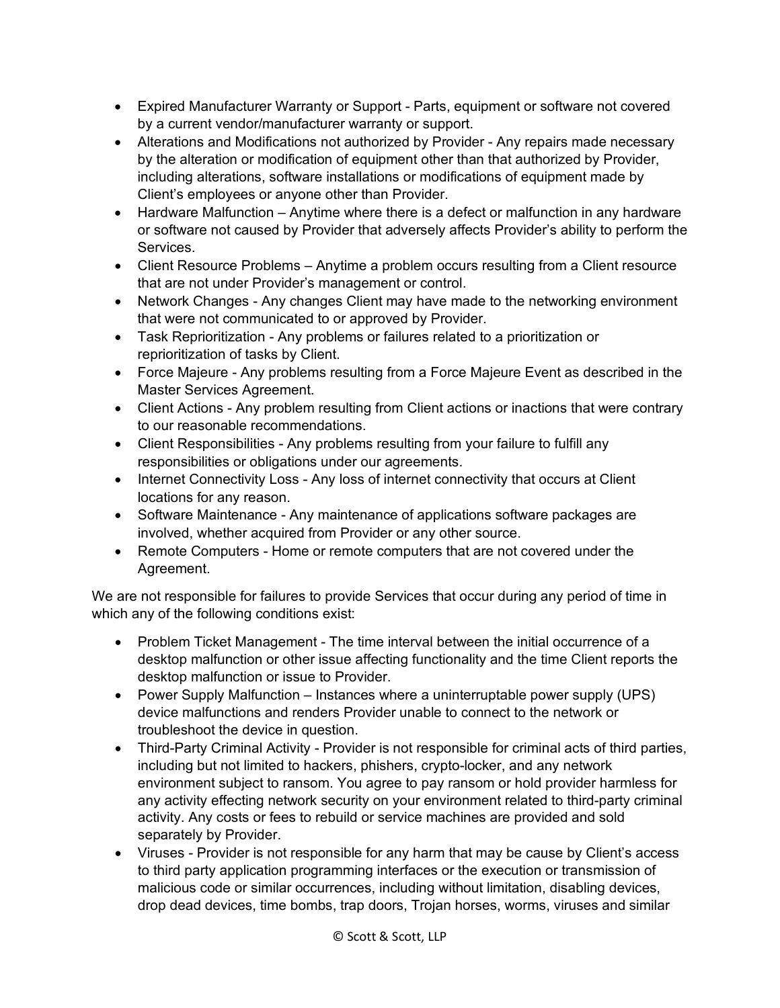- Expired Manufacturer Warranty or Support Parts, equipment or software not covered by a current vendor/manufacturer warranty or support.
- Alterations and Modifications not authorized by Provider Any repairs made necessary by the alteration or modification of equipment other than that authorized by Provider, including alterations, software installations or modifications of equipment made by Client's employees or anyone other than Provider.
- Hardware Malfunction Anytime where there is a defect or malfunction in any hardware or software not caused by Provider that adversely affects Provider's ability to perform the Services.
- Client Resource Problems Anytime a problem occurs resulting from a Client resource that are not under Provider's management or control.
- Network Changes Any changes Client may have made to the networking environment that were not communicated to or approved by Provider.
- Task Reprioritization Any problems or failures related to a prioritization or reprioritization of tasks by Client.
- Force Majeure Any problems resulting from a Force Majeure Event as described in the Master Services Agreement.
- Client Actions Any problem resulting from Client actions or inactions that were contrary to our reasonable recommendations.
- Client Responsibilities Any problems resulting from your failure to fulfill any responsibilities or obligations under our agreements.
- Internet Connectivity Loss Any loss of internet connectivity that occurs at Client locations for any reason.
- Software Maintenance Any maintenance of applications software packages are involved, whether acquired from Provider or any other source.
- Remote Computers Home or remote computers that are not covered under the Agreement.

We are not responsible for failures to provide Services that occur during any period of time in which any of the following conditions exist:

- Problem Ticket Management The time interval between the initial occurrence of a desktop malfunction or other issue affecting functionality and the time Client reports the desktop malfunction or issue to Provider.
- Power Supply Malfunction Instances where a uninterruptable power supply (UPS) device malfunctions and renders Provider unable to connect to the network or troubleshoot the device in question.
- Third-Party Criminal Activity Provider is not responsible for criminal acts of third parties, including but not limited to hackers, phishers, crypto-locker, and any network environment subject to ransom. You agree to pay ransom or hold provider harmless for any activity effecting network security on your environment related to third-party criminal activity. Any costs or fees to rebuild or service machines are provided and sold separately by Provider.
- Viruses Provider is not responsible for any harm that may be cause by Client's access to third party application programming interfaces or the execution or transmission of malicious code or similar occurrences, including without limitation, disabling devices, drop dead devices, time bombs, trap doors, Trojan horses, worms, viruses and similar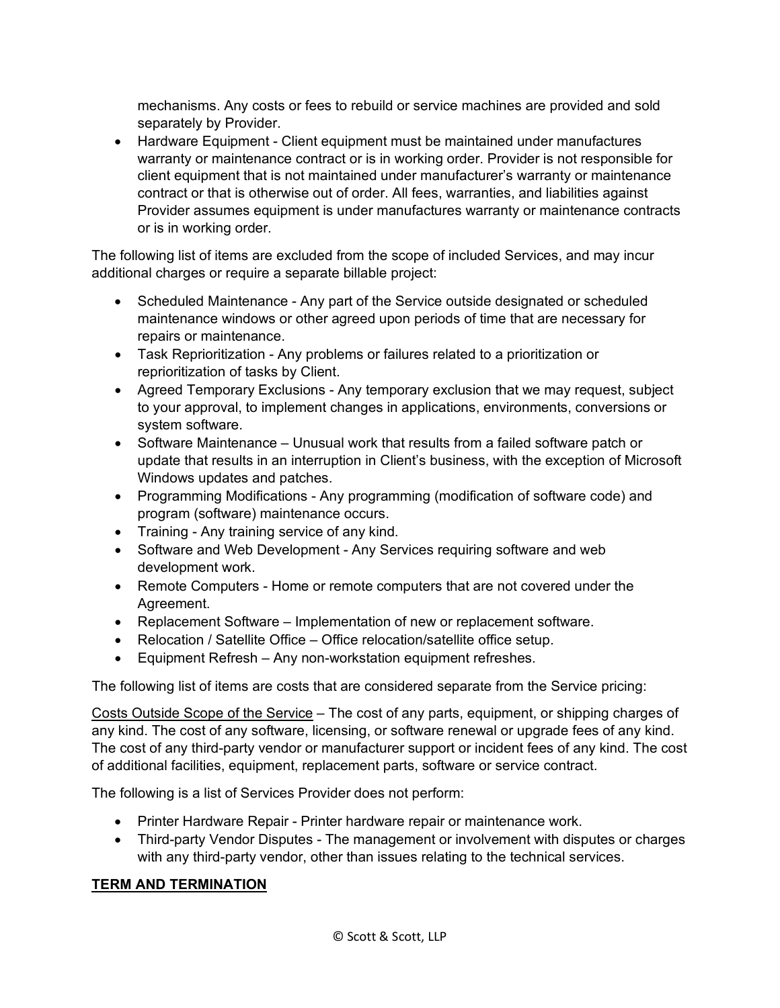mechanisms. Any costs or fees to rebuild or service machines are provided and sold separately by Provider.

• Hardware Equipment - Client equipment must be maintained under manufactures warranty or maintenance contract or is in working order. Provider is not responsible for client equipment that is not maintained under manufacturer's warranty or maintenance contract or that is otherwise out of order. All fees, warranties, and liabilities against Provider assumes equipment is under manufactures warranty or maintenance contracts or is in working order.

The following list of items are excluded from the scope of included Services, and may incur additional charges or require a separate billable project:

- Scheduled Maintenance Any part of the Service outside designated or scheduled maintenance windows or other agreed upon periods of time that are necessary for repairs or maintenance.
- Task Reprioritization Any problems or failures related to a prioritization or reprioritization of tasks by Client.
- Agreed Temporary Exclusions Any temporary exclusion that we may request, subject to your approval, to implement changes in applications, environments, conversions or system software.
- Software Maintenance Unusual work that results from a failed software patch or update that results in an interruption in Client's business, with the exception of Microsoft Windows updates and patches.
- Programming Modifications Any programming (modification of software code) and program (software) maintenance occurs.
- Training Any training service of any kind.
- Software and Web Development Any Services requiring software and web development work.
- Remote Computers Home or remote computers that are not covered under the Agreement.
- Replacement Software Implementation of new or replacement software.
- Relocation / Satellite Office Office relocation/satellite office setup.
- Equipment Refresh Any non-workstation equipment refreshes.

The following list of items are costs that are considered separate from the Service pricing:

Costs Outside Scope of the Service – The cost of any parts, equipment, or shipping charges of any kind. The cost of any software, licensing, or software renewal or upgrade fees of any kind. The cost of any third-party vendor or manufacturer support or incident fees of any kind. The cost of additional facilities, equipment, replacement parts, software or service contract.

The following is a list of Services Provider does not perform:

- Printer Hardware Repair Printer hardware repair or maintenance work.
- Third-party Vendor Disputes The management or involvement with disputes or charges with any third-party vendor, other than issues relating to the technical services.

# **TERM AND TERMINATION**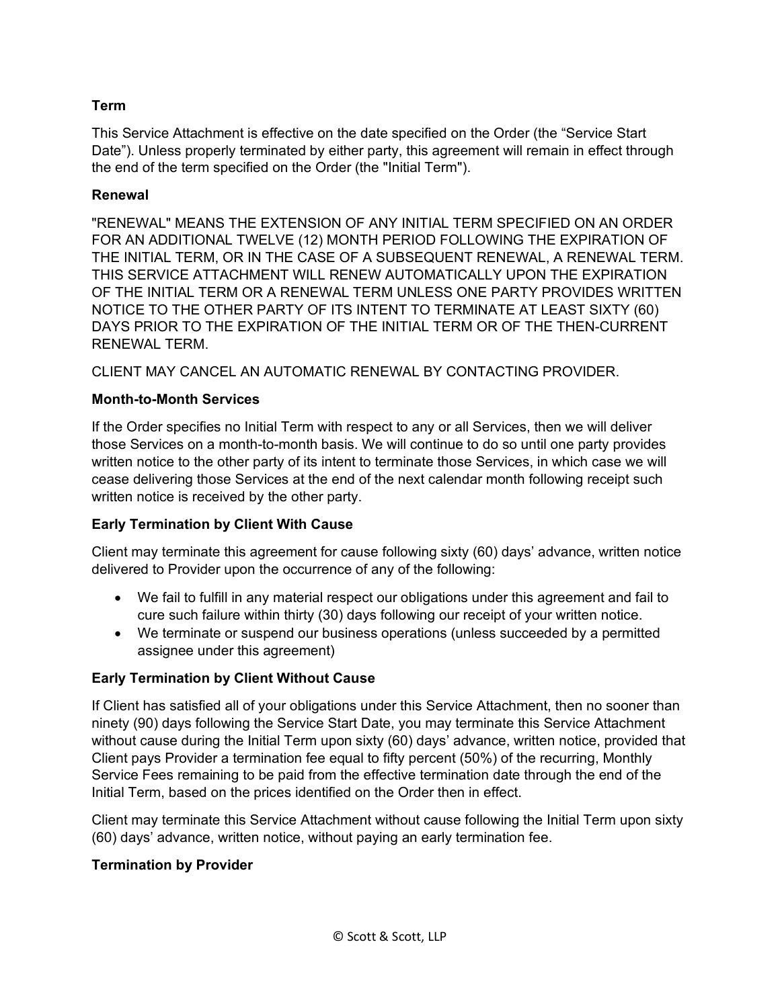# **Term**

This Service Attachment is effective on the date specified on the Order (the "Service Start Date"). Unless properly terminated by either party, this agreement will remain in effect through the end of the term specified on the Order (the "Initial Term").

## **Renewal**

"RENEWAL" MEANS THE EXTENSION OF ANY INITIAL TERM SPECIFIED ON AN ORDER FOR AN ADDITIONAL TWELVE (12) MONTH PERIOD FOLLOWING THE EXPIRATION OF THE INITIAL TERM, OR IN THE CASE OF A SUBSEQUENT RENEWAL, A RENEWAL TERM. THIS SERVICE ATTACHMENT WILL RENEW AUTOMATICALLY UPON THE EXPIRATION OF THE INITIAL TERM OR A RENEWAL TERM UNLESS ONE PARTY PROVIDES WRITTEN NOTICE TO THE OTHER PARTY OF ITS INTENT TO TERMINATE AT LEAST SIXTY (60) DAYS PRIOR TO THE EXPIRATION OF THE INITIAL TERM OR OF THE THEN-CURRENT RENEWAL TERM.

CLIENT MAY CANCEL AN AUTOMATIC RENEWAL BY CONTACTING PROVIDER.

# **Month-to-Month Services**

If the Order specifies no Initial Term with respect to any or all Services, then we will deliver those Services on a month-to-month basis. We will continue to do so until one party provides written notice to the other party of its intent to terminate those Services, in which case we will cease delivering those Services at the end of the next calendar month following receipt such written notice is received by the other party.

# **Early Termination by Client With Cause**

Client may terminate this agreement for cause following sixty (60) days' advance, written notice delivered to Provider upon the occurrence of any of the following:

- We fail to fulfill in any material respect our obligations under this agreement and fail to cure such failure within thirty (30) days following our receipt of your written notice.
- We terminate or suspend our business operations (unless succeeded by a permitted assignee under this agreement)

# **Early Termination by Client Without Cause**

If Client has satisfied all of your obligations under this Service Attachment, then no sooner than ninety (90) days following the Service Start Date, you may terminate this Service Attachment without cause during the Initial Term upon sixty (60) days' advance, written notice, provided that Client pays Provider a termination fee equal to fifty percent (50%) of the recurring, Monthly Service Fees remaining to be paid from the effective termination date through the end of the Initial Term, based on the prices identified on the Order then in effect.

Client may terminate this Service Attachment without cause following the Initial Term upon sixty (60) days' advance, written notice, without paying an early termination fee.

#### **Termination by Provider**